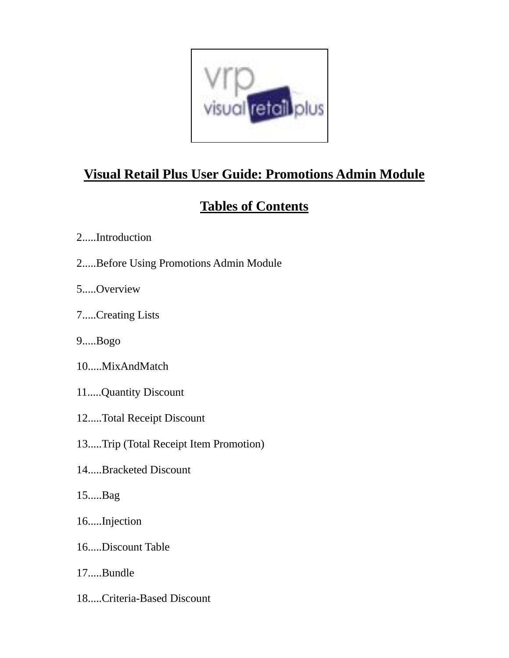

## **Visual Retail Plus User Guide: Promotions Admin Module**

## **Tables of Contents**

- 2.....Introduction
- 2.....Before Using Promotions Admin Module
- 5.....Overview
- 7.....Creating Lists
- 9.....Bogo
- 10.....MixAndMatch
- 11.....Quantity Discount
- 12.....Total Receipt Discount
- 13.....Trip (Total Receipt Item Promotion)
- 14.....Bracketed Discount
- 15.....Bag
- 16.....Injection
- 16.....Discount Table
- 17.....Bundle
- 18.....Criteria-Based Discount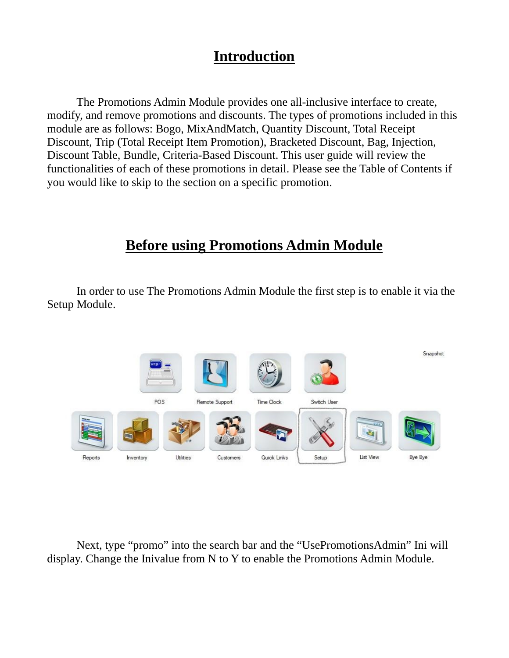### **Introduction**

The Promotions Admin Module provides one all-inclusive interface to create, modify, and remove promotions and discounts. The types of promotions included in this module are as follows: Bogo, MixAndMatch, Quantity Discount, Total Receipt Discount, Trip (Total Receipt Item Promotion), Bracketed Discount, Bag, Injection, Discount Table, Bundle, Criteria-Based Discount. This user guide will review the functionalities of each of these promotions in detail. Please see the Table of Contents if you would like to skip to the section on a specific promotion.

#### **Before using Promotions Admin Module**

In order to use The Promotions Admin Module the first step is to enable it via the Setup Module.



Next, type "promo" into the search bar and the "UsePromotionsAdmin" Ini will display. Change the Inivalue from N to Y to enable the Promotions Admin Module.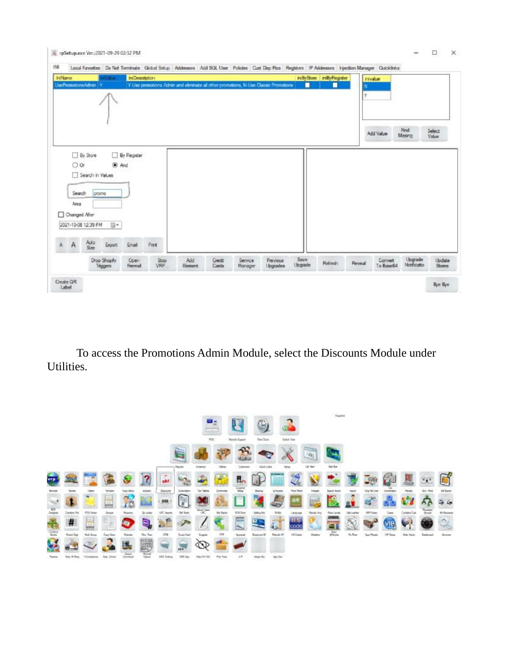

To access the Promotions Admin Module, select the Discounts Module under Utilities.

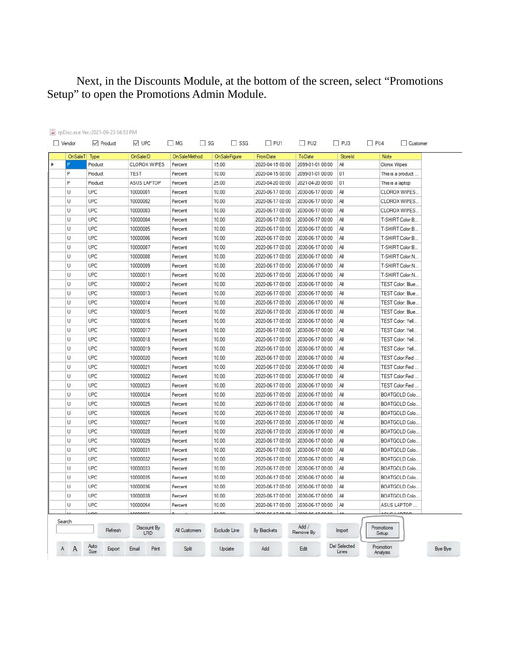#### Next, in the Discounts Module, at the bottom of the screen, select "Promotions Setup" to open the Promotions Admin Module.

|        | OnSaleT Type | OnSaleID           | OnSaleMethod  | <b>OnSaleFigure</b> | <b>FromDate</b>  | ToDate             | StoreId | Note                |
|--------|--------------|--------------------|---------------|---------------------|------------------|--------------------|---------|---------------------|
|        | Product      | CLOROX WIPES       | Percent       | 15.00               | 2020-04-15 00:00 | 2099-01-01 00:00   | All     | Clorox Wipes        |
| P      | Product      | TEST               | Percent       | 10.00               | 2020-04-15 00:00 | 2099-01-01 00:00   | 01      | This is a product   |
| P      | Product      | <b>ASUS LAPTOP</b> | Percent       | 25.00               | 2020-04-20 00:00 | 2021-04-20 00:00   | 01      | This is a laptop    |
| U      | <b>UPC</b>   | 10000001           | Percent       | 10.00               | 2020-06-17 00:00 | 2030-06-17 00:00   | All     | CLOROX WIPES        |
| U      | UPC          | 10000002           | Percent       | 10.00               | 2020-06-17 00:00 | 2030-06-17 00:00   | All     | CLOROX WIPES        |
| U      | <b>UPC</b>   | 10000003           | Percent       | 10.00               | 2020-06-17 00:00 | 2030-06-17 00:00   | All     | CLOROX WIPES        |
| U      | <b>UPC</b>   | 10000004           | Percent       | 10.00               | 2020-06-17 00:00 | 2030-06-17 00:00   | All     | T-SHIRT Color:B.    |
| Ü      | <b>UPC</b>   | 10000005           | Percent       | 10.00               | 2020-06-17 00:00 | 2030-06-17 00:00   | All     | T-SHIRT Color:B     |
| U      | UPC          | 10000006           | Percent       | 10.00               | 2020-06-17 00:00 | 2030-06-17 00:00   | All     | T-SHIRT Color:B     |
| U      | UPC          | 10000007           | Percent       | 10.00               | 2020-06-17 00:00 | 2030-06-17 00:00   | All     | T-SHIRT Color:B     |
| U      | UPC          | 10000008           | Percent       | 10.00               | 2020-06-17 00:00 | 2030-06-17 00:00   | All     | T-SHIRT Color:N     |
| U      | <b>UPC</b>   | 10000009           | Percent       | 10.00               | 2020-06-17 00:00 | 2030-06-17 00:00   | All     | T-SHIRT Color:N     |
| U      | <b>UPC</b>   | 10000011           | Percent       | 10.00               | 2020-06-17 00:00 | 2030-06-17 00:00   | All     | T-SHIRT Color:N     |
| U      | <b>UPC</b>   | 10000012           | Percent       | 10.00               | 2020-06-17 00:00 | 2030-06-17 00:00   | All     | TEST Color: Blue    |
| U      | UPC          | 10000013           | Percent       | 10.00               | 2020-06-17 00:00 | 2030-06-17 00:00   | All     | TEST Color: Blue    |
| U      | UPC          | 10000014           | Percent       | 10.00               | 2020-06-17 00:00 | 2030-06-17 00:00   | All     | TEST Color: Blue    |
| U      | UPC          | 10000015           | Percent       | 10.00               | 2020-06-17 00:00 | 2030-06-17 00:00   | All     | TEST Color: Blue    |
| U      | UPC          | 10000016           | Percent       | 10.00               | 2020-06-17 00:00 | 2030-06-17 00:00   | All     | TEST Color: Yell    |
| U      | UPC          | 10000017           | Percent       | 10.00               | 2020-06-17 00:00 | 2030-06-17 00:00   | All     | TEST Color: Yell    |
| U      | UPC          | 10000018           | Percent       | 10.00               | 2020-06-17 00:00 | 2030-06-17 00:00   | All     | TEST Color: Yell    |
| U      | UPC          | 10000019           | Percent       | 10.00               | 2020-06-17 00:00 | 2030-06-17 00:00   | All     | TEST Color: Yell    |
| U      | UPC          | 10000020           | Percent       | 10.00               | 2020-06-17 00:00 | 2030-06-17 00:00   | All     | TEST Color:Red      |
| $\cup$ | <b>UPC</b>   | 10000021           | Percent       | 10.00               | 2020-06-17 00:00 | 2030-06-17 00:00   | All     | TEST Color:Red      |
| U      | <b>UPC</b>   | 10000022           | Percent       | 10.00               | 2020-06-17 00:00 | 2030-06-17 00:00   | All     | TEST Color:Red      |
| U      | <b>UPC</b>   | 10000023           | Percent       | 10.00               | 2020-06-17 00:00 | 2030-06-17 00:00   | All     | TEST Color:Red      |
| U      | UPC          | 10000024           | Percent       | 10.00               | 2020-06-17 00:00 | 2030-06-17 00:00   | All     | BOATGOLD Colo       |
| U      | UPC          | 10000025           | Percent       | 10.00               | 2020-06-17 00:00 | 2030-06-17 00:00   | All     | BOATGOLD Colo       |
| U      | <b>UPC</b>   | 10000026           | Percent       | 10.00               | 2020-06-17 00:00 | 2030-06-17 00:00   | All     | BOATGOLD Colo       |
| U      | UPC          | 10000027           | Percent       | 10.00               | 2020-06-17 00:00 | 2030-06-17 00:00   | All     | BOATGOLD Colo       |
| U      | UPC          | 10000028           | Percent       | 10.00               | 2020-06-17 00:00 | 2030-06-17 00:00   | All     | BOATGOLD Colo       |
| U      | <b>UPC</b>   | 10000029           | Percent       | 10.00               | 2020-06-17 00:00 | 2030-06-17 00:00   | All     | BOATGOLD Colo       |
| U      | UPC          | 10000031           | Percent       | 10.00               | 2020-06-17 00:00 | 2030-06-17 00:00   | All     | BOATGOLD Colo       |
| U      | <b>UPC</b>   | 10000032           | Percent       | 10.00               | 2020-06-17 00:00 | 2030-06-17 00:00   | All     | BOATGOLD Colo       |
| U      | <b>UPC</b>   | 10000033           | Percent       | 10.00               | 2020-06-17 00:00 | 2030-06-17 00:00   | All     | BOATGOLD Colo       |
| U      | UPC          | 10000035           | Percent       | 10.00               | 2020-06-17 00:00 | 2030-06-17 00:00   | All     | BOATGOLD Colo       |
| U      | <b>UPC</b>   | 10000036           | Percent       | 10.00               | 2020-06-17 00:00 | 2030-06-17 00:00   | All     | BOATGOLD Colo       |
| U      | <b>UPC</b>   | 10000038           | Percent       | 10.00               | 2020-06-17 00:00 | 2030-06-17 00:00   | All     | BOATGOLD Colo       |
| U      | UPC          | 10000054           | Percent       | 10.00               | 2020-06-17 00:00 | 2030-06-17 00:00   | All     | ASUS LAPTOP         |
|        |              |                    |               |                     |                  |                    |         |                     |
| Search | Refresh      | Discount By<br>LRD | All Customers | Exclude Line        | By Brackets      | Add /<br>Remove By | Import  | Promotions<br>Setup |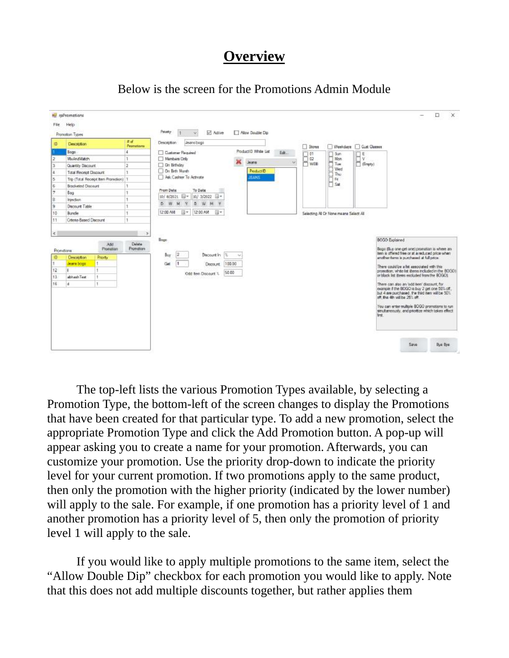### **Overview**



Below is the screen for the Promotions Admin Module

The top-left lists the various Promotion Types available, by selecting a Promotion Type, the bottom-left of the screen changes to display the Promotions that have been created for that particular type. To add a new promotion, select the appropriate Promotion Type and click the Add Promotion button. A pop-up will appear asking you to create a name for your promotion. Afterwards, you can customize your promotion. Use the priority drop-down to indicate the priority level for your current promotion. If two promotions apply to the same product, then only the promotion with the higher priority (indicated by the lower number) will apply to the sale. For example, if one promotion has a priority level of 1 and another promotion has a priority level of 5, then only the promotion of priority level 1 will apply to the sale.

If you would like to apply multiple promotions to the same item, select the "Allow Double Dip" checkbox for each promotion you would like to apply. Note that this does not add multiple discounts together, but rather applies them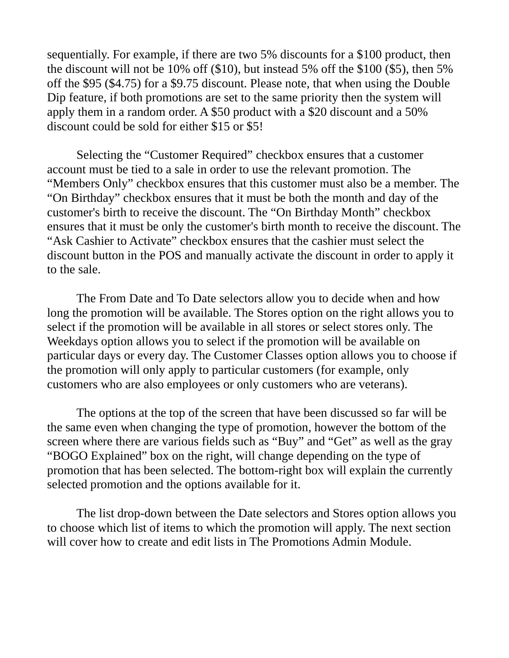sequentially. For example, if there are two 5% discounts for a \$100 product, then the discount will not be 10% off (\$10), but instead 5% off the \$100 (\$5), then 5% off the \$95 (\$4.75) for a \$9.75 discount. Please note, that when using the Double Dip feature, if both promotions are set to the same priority then the system will apply them in a random order. A \$50 product with a \$20 discount and a 50% discount could be sold for either \$15 or \$5!

Selecting the "Customer Required" checkbox ensures that a customer account must be tied to a sale in order to use the relevant promotion. The "Members Only" checkbox ensures that this customer must also be a member. The "On Birthday" checkbox ensures that it must be both the month and day of the customer's birth to receive the discount. The "On Birthday Month" checkbox ensures that it must be only the customer's birth month to receive the discount. The "Ask Cashier to Activate" checkbox ensures that the cashier must select the discount button in the POS and manually activate the discount in order to apply it to the sale.

The From Date and To Date selectors allow you to decide when and how long the promotion will be available. The Stores option on the right allows you to select if the promotion will be available in all stores or select stores only. The Weekdays option allows you to select if the promotion will be available on particular days or every day. The Customer Classes option allows you to choose if the promotion will only apply to particular customers (for example, only customers who are also employees or only customers who are veterans).

The options at the top of the screen that have been discussed so far will be the same even when changing the type of promotion, however the bottom of the screen where there are various fields such as "Buy" and "Get" as well as the gray "BOGO Explained" box on the right, will change depending on the type of promotion that has been selected. The bottom-right box will explain the currently selected promotion and the options available for it.

The list drop-down between the Date selectors and Stores option allows you to choose which list of items to which the promotion will apply. The next section will cover how to create and edit lists in The Promotions Admin Module.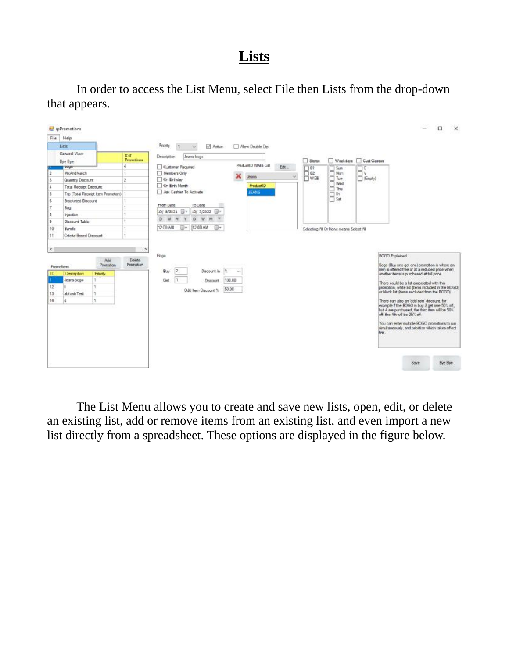### **Lists**

In order to access the List Menu, select File then Lists from the drop-down that appears.



The List Menu allows you to create and save new lists, open, edit, or delete an existing list, add or remove items from an existing list, and even import a new list directly from a spreadsheet. These options are displayed in the figure below.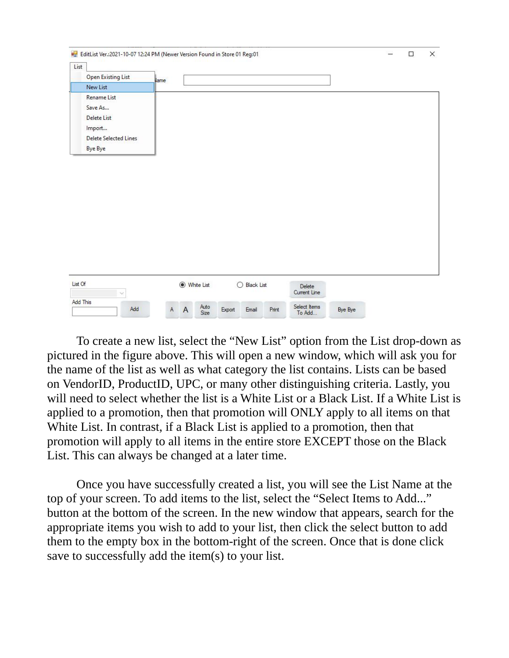| List    |                                                                                                          |      |            |              |                        |  |  |
|---------|----------------------------------------------------------------------------------------------------------|------|------------|--------------|------------------------|--|--|
|         | <b>Open Existing List</b>                                                                                | lame |            |              |                        |  |  |
|         | New List                                                                                                 |      |            |              |                        |  |  |
|         | <b>Rename List</b><br>Save As<br><b>Delete List</b><br>Import<br>Delete Selected Lines<br><b>Bye Bye</b> |      |            |              |                        |  |  |
|         |                                                                                                          |      |            |              |                        |  |  |
| List Of | v<br>Add This                                                                                            |      | White List | ◯ Black List | Delete<br>Current Line |  |  |

To create a new list, select the "New List" option from the List drop-down as pictured in the figure above. This will open a new window, which will ask you for the name of the list as well as what category the list contains. Lists can be based on VendorID, ProductID, UPC, or many other distinguishing criteria. Lastly, you will need to select whether the list is a White List or a Black List. If a White List is applied to a promotion, then that promotion will ONLY apply to all items on that White List. In contrast, if a Black List is applied to a promotion, then that promotion will apply to all items in the entire store EXCEPT those on the Black List. This can always be changed at a later time.

Once you have successfully created a list, you will see the List Name at the top of your screen. To add items to the list, select the "Select Items to Add..." button at the bottom of the screen. In the new window that appears, search for the appropriate items you wish to add to your list, then click the select button to add them to the empty box in the bottom-right of the screen. Once that is done click save to successfully add the item(s) to your list.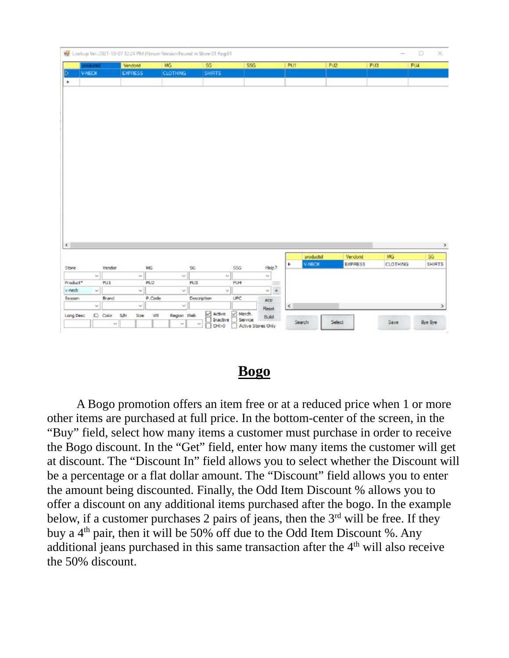|            | of and   | Vendond        |                 | MG                 | 5G            | <b>55G</b>                 |                          | PUT        | PU2           |                | PUB             | PU4           |
|------------|----------|----------------|-----------------|--------------------|---------------|----------------------------|--------------------------|------------|---------------|----------------|-----------------|---------------|
|            | V-NECK   | <b>EXPRESS</b> |                 | <b>CLOTHING:</b>   | <b>SHIRTS</b> |                            |                          |            |               |                |                 |               |
| ٠          |          |                |                 |                    |               |                            |                          |            |               |                |                 |               |
|            |          |                |                 |                    |               |                            |                          |            |               |                |                 |               |
|            |          |                |                 |                    |               |                            |                          |            |               |                |                 |               |
|            |          |                |                 |                    |               |                            |                          |            |               |                |                 |               |
|            |          |                |                 |                    |               |                            |                          |            |               |                |                 |               |
|            |          |                |                 |                    |               |                            |                          |            |               |                |                 |               |
|            |          |                |                 |                    |               |                            |                          |            |               |                |                 |               |
|            |          |                |                 |                    |               |                            |                          |            |               |                |                 |               |
|            |          |                |                 |                    |               |                            |                          |            |               |                |                 |               |
|            |          |                |                 |                    |               |                            |                          |            |               |                |                 |               |
|            |          |                |                 |                    |               |                            |                          |            |               |                |                 |               |
|            |          |                |                 |                    |               |                            |                          |            |               |                |                 |               |
|            |          |                |                 |                    |               |                            |                          |            |               |                |                 |               |
|            |          |                |                 |                    |               |                            |                          |            |               |                |                 |               |
|            |          |                |                 |                    |               |                            |                          |            |               |                |                 |               |
|            |          |                |                 |                    |               |                            |                          |            |               |                |                 |               |
|            |          |                |                 |                    |               |                            |                          |            |               |                |                 |               |
|            |          |                |                 |                    |               |                            |                          |            |               |                |                 |               |
|            |          |                |                 |                    |               |                            |                          |            |               |                |                 |               |
|            |          |                |                 |                    |               |                            |                          |            |               |                |                 |               |
|            |          |                |                 |                    |               |                            |                          |            |               |                |                 |               |
|            |          |                |                 |                    |               |                            |                          |            |               |                |                 |               |
|            |          |                |                 |                    |               |                            |                          |            |               |                |                 |               |
|            |          |                |                 |                    |               |                            |                          |            |               |                |                 |               |
| $\epsilon$ |          |                |                 |                    |               |                            |                          |            |               |                |                 |               |
|            |          |                |                 |                    |               |                            |                          |            | productid     | Vendorid       | MG              | SG.           |
| Store      |          | Vendor         | MG              |                    | SG.           | SSG                        | Help?                    | ٠          | <b>V-NECK</b> | <b>EXPRESS</b> | <b>CLOTHING</b> | <b>SHIRTS</b> |
|            | $\omega$ |                | $\omega$        | $\lambda_{\rm C}$  |               | $\approx$                  | $\omega$                 |            |               |                |                 |               |
| Product*   |          | PU1            | PU <sub>2</sub> |                    | PL/3          | PU4                        | ĐО.                      |            |               |                |                 |               |
| v-neck     | w.       |                | w               | $\omega$           |               | $\omega$                   | w                        |            |               |                |                 |               |
|            |          |                |                 |                    |               |                            | $\overline{\phantom{a}}$ |            |               |                |                 |               |
|            |          | Brand          |                 | P.Code<br>$\omega$ | Description   | UPC                        | Attr                     |            |               |                |                 |               |
| Season     | w.       |                | w               |                    |               |                            | Reset                    | $\epsilon$ |               |                |                 |               |
| Long Desc  |          | (C) Color S/M  | S20             | Region Web<br>Wi   | Active        | Merch.<br>Inactive Service | <b>Build</b>             | Search     |               | Select         | Save            | Bye Bye       |

#### **Bogo**

A Bogo promotion offers an item free or at a reduced price when 1 or more other items are purchased at full price. In the bottom-center of the screen, in the "Buy" field, select how many items a customer must purchase in order to receive the Bogo discount. In the "Get" field, enter how many items the customer will get at discount. The "Discount In" field allows you to select whether the Discount will be a percentage or a flat dollar amount. The "Discount" field allows you to enter the amount being discounted. Finally, the Odd Item Discount % allows you to offer a discount on any additional items purchased after the bogo. In the example below, if a customer purchases 2 pairs of jeans, then the  $3<sup>rd</sup>$  will be free. If they buy a  $4<sup>th</sup>$  pair, then it will be 50% off due to the Odd Item Discount %. Any additional jeans purchased in this same transaction after the  $4<sup>th</sup>$  will also receive the 50% discount.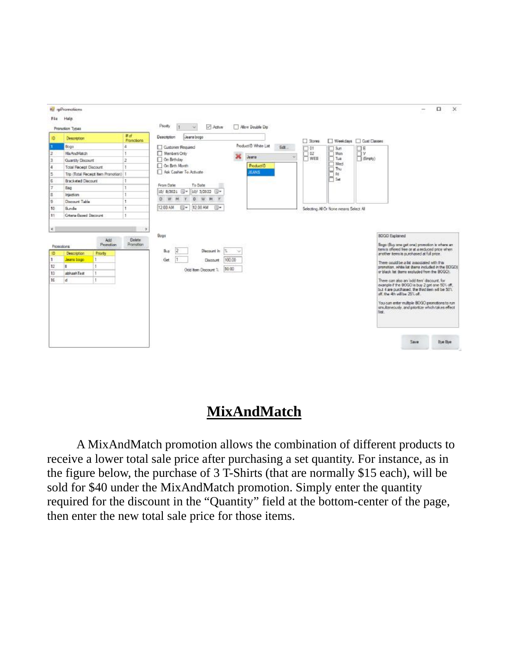

### **MixAndMatch**

A MixAndMatch promotion allows the combination of different products to receive a lower total sale price after purchasing a set quantity. For instance, as in the figure below, the purchase of 3 T-Shirts (that are normally \$15 each), will be sold for \$40 under the MixAndMatch promotion. Simply enter the quantity required for the discount in the "Quantity" field at the bottom-center of the page, then enter the new total sale price for those items.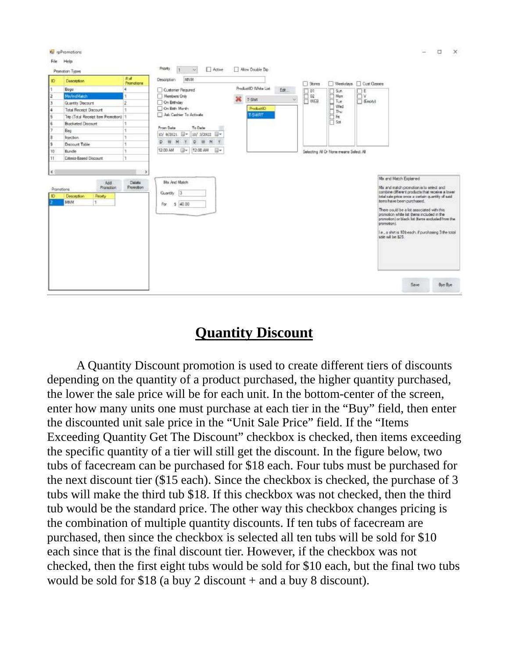



re promotions

#### **Quantity Discount**

A Quantity Discount promotion is used to create different tiers of discounts depending on the quantity of a product purchased, the higher quantity purchased, the lower the sale price will be for each unit. In the bottom-center of the screen, enter how many units one must purchase at each tier in the "Buy" field, then enter the discounted unit sale price in the "Unit Sale Price" field. If the "Items Exceeding Quantity Get The Discount" checkbox is checked, then items exceeding the specific quantity of a tier will still get the discount. In the figure below, two tubs of facecream can be purchased for \$18 each. Four tubs must be purchased for the next discount tier (\$15 each). Since the checkbox is checked, the purchase of 3 tubs will make the third tub \$18. If this checkbox was not checked, then the third tub would be the standard price. The other way this checkbox changes pricing is the combination of multiple quantity discounts. If ten tubs of facecream are purchased, then since the checkbox is selected all ten tubs will be sold for \$10 each since that is the final discount tier. However, if the checkbox was not checked, then the first eight tubs would be sold for \$10 each, but the final two tubs would be sold for \$18 (a buy 2 discount + and a buy 8 discount).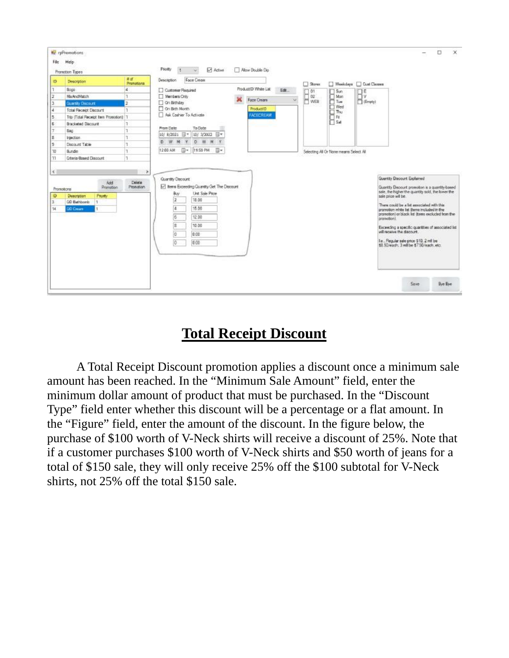

# **Total Receipt Discount**

A Total Receipt Discount promotion applies a discount once a minimum sale amount has been reached. In the "Minimum Sale Amount" field, enter the minimum dollar amount of product that must be purchased. In the "Discount Type" field enter whether this discount will be a percentage or a flat amount. In the "Figure" field, enter the amount of the discount. In the figure below, the purchase of \$100 worth of V-Neck shirts will receive a discount of 25%. Note that if a customer purchases \$100 worth of V-Neck shirts and \$50 worth of jeans for a total of \$150 sale, they will only receive 25% off the \$100 subtotal for V-Neck shirts, not 25% off the total \$150 sale.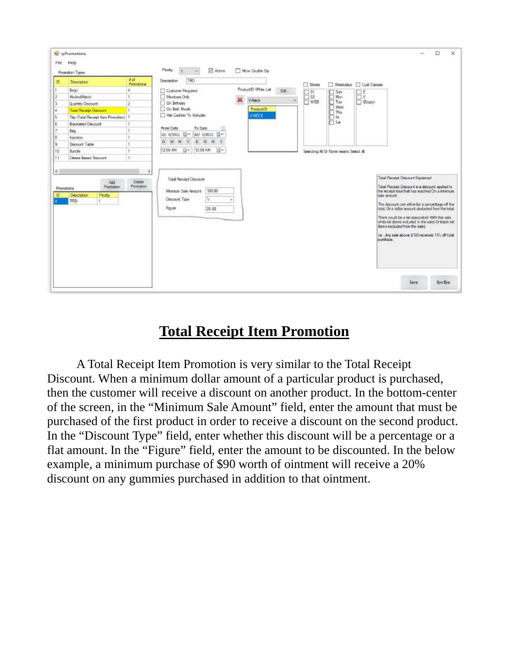

### **Total Receipt Item Promotion**

A Total Receipt Item Promotion is very similar to the Total Receipt Discount. When a minimum dollar amount of a particular product is purchased, then the customer will receive a discount on another product. In the bottom-center of the screen, in the "Minimum Sale Amount" field, enter the amount that must be purchased of the first product in order to receive a discount on the second product. In the "Discount Type" field, enter whether this discount will be a percentage or a flat amount. In the "Figure" field, enter the amount to be discounted. In the below example, a minimum purchase of \$90 worth of ointment will receive a 20% discount on any gummies purchased in addition to that ointment.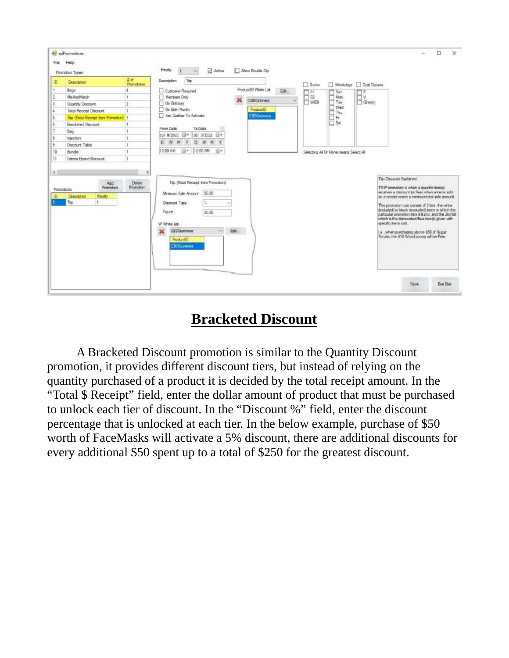| File                                | a pPromotions<br>Help<br>Promotion Types                                                                                          |                                              | Promy<br>Active<br>Mow Double Dip<br>×.                                                                                                                                                                                                         | $\times$<br>□                                                                                                                                                                                                                                                                                                                                                                                               |
|-------------------------------------|-----------------------------------------------------------------------------------------------------------------------------------|----------------------------------------------|-------------------------------------------------------------------------------------------------------------------------------------------------------------------------------------------------------------------------------------------------|-------------------------------------------------------------------------------------------------------------------------------------------------------------------------------------------------------------------------------------------------------------------------------------------------------------------------------------------------------------------------------------------------------------|
| ID.                                 | Description                                                                                                                       | <b>A</b> of<br>Promotions                    | Táp<br>Description<br>$\Box$ Stores<br>Weekdows Cust Classes                                                                                                                                                                                    |                                                                                                                                                                                                                                                                                                                                                                                                             |
| 1<br>$\overline{2}$<br>$\mathbf{3}$ | <b>Bopp</b><br>Ma And Match<br>Quantity Discount                                                                                  | ı<br>1<br>$\bar{z}$<br>$\ddot{\phantom{1}}$  | ProductID White List<br>Customer Required<br>Edit<br>口叶<br>口日<br>$\Box$ Sin<br>$\square$ 02<br>$\Box$ Man<br><b>IT V</b><br>Members Only<br>CEDOntment<br>$\sim$<br><b>IT WEB</b><br>$\Box$ (Engly)<br>On Brthday<br>On Bith Month<br>ProductID |                                                                                                                                                                                                                                                                                                                                                                                                             |
| 4<br>5<br>K.<br>T<br>s.             | <b>Tetal Recept Discount</b><br>Tito (Total Receipt Item Promotion) 1<br><b>Bracketed Discount</b><br>8 <sub>0</sub><br>Intection | $\mathbf{I}$<br>÷                            | The Wed<br>Star The Star<br>The Star<br>Ask Cashier To Activate<br><b>CBDOvement</b><br>From Date<br>To Date<br><b>IIIv</b><br>10/ 3/2022 W<br>10/ 8/2021                                                                                       |                                                                                                                                                                                                                                                                                                                                                                                                             |
| $\frac{1}{2}$<br>10<br>11           | <b>Discount Table</b><br><b>Bunder</b><br><b>Citeria Bened Discount</b>                                                           | 1<br>1<br>$\mathbf{1}$                       | D.<br>D<br>w<br>$3$<br>$^{14}$<br>M<br>12:00 AM<br>图1<br>12:00 AM<br>同米<br>Selecting All Dr None means Select All                                                                                                                               |                                                                                                                                                                                                                                                                                                                                                                                                             |
| $\sim$                              | Add<br>Promotion<br>Prorections                                                                                                   | $\mathfrak{p}$<br>Delete<br><b>Promotion</b> | Titp (Total Regeipt Item Promotion)                                                                                                                                                                                                             | Trip Discount Explained<br>TRP pronotion is when a specific barelel                                                                                                                                                                                                                                                                                                                                         |
| ID.                                 | Description<br><b>Ficity</b><br>Ting<br>1                                                                                         |                                              | 90.00<br>Minimum Sale Amount<br>Discount Type<br>Figure<br>20:00<br>specific tierra sold.<br>W Whee List<br>Edit<br><b>CBDGummes</b><br>×<br>÷<br>ProductiD.<br><b>CRDGummies</b>                                                               | weatyer a cloenunt for free) when a terra sold<br>on a receipt reach a mininum total sale amount.<br>This promotion can consist of 2 lots, the white<br>(included) or black (excluded) term in which the<br>particular promotion item links to , and the 2nd list<br>which is the discounted/free item(s) given with<br>Le when purchasing above \$50 of Sugar<br>Sorubs, the \$10 Wood scoop will be Free. |
|                                     |                                                                                                                                   |                                              |                                                                                                                                                                                                                                                 | <b>Bye Bie</b><br>Sayle                                                                                                                                                                                                                                                                                                                                                                                     |

### **Bracketed Discount**

A Bracketed Discount promotion is similar to the Quantity Discount promotion, it provides different discount tiers, but instead of relying on the quantity purchased of a product it is decided by the total receipt amount. In the "Total \$ Receipt" field, enter the dollar amount of product that must be purchased to unlock each tier of discount. In the "Discount %" field, enter the discount percentage that is unlocked at each tier. In the below example, purchase of \$50 worth of FaceMasks will activate a 5% discount, there are additional discounts for every additional \$50 spent up to a total of \$250 for the greatest discount.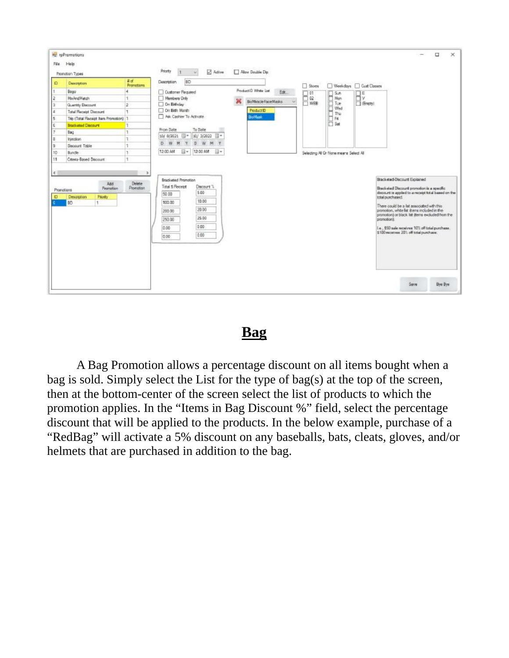

#### **Bag**

A Bag Promotion allows a percentage discount on all items bought when a bag is sold. Simply select the List for the type of bag(s) at the top of the screen, then at the bottom-center of the screen select the list of products to which the promotion applies. In the "Items in Bag Discount %" field, select the percentage discount that will be applied to the products. In the below example, purchase of a "RedBag" will activate a 5% discount on any baseballs, bats, cleats, gloves, and/or helmets that are purchased in addition to the bag.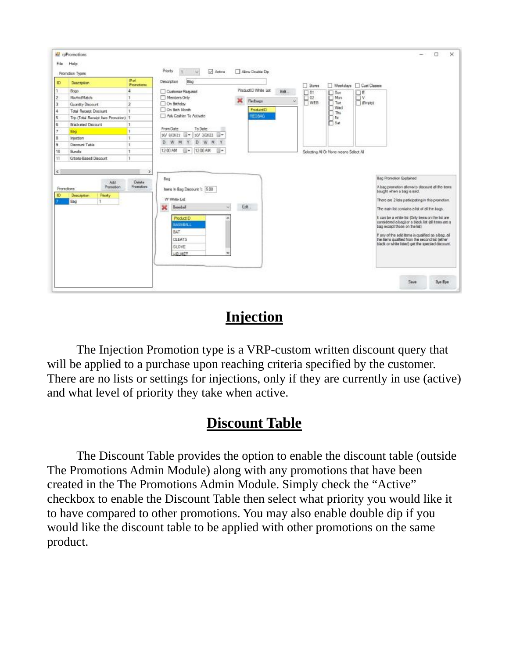|                                        | Promotion Types                                 |                               | Priority<br>Active<br>n.                     | Allow Double Dip     |        |                  |                                         |                                           |                                                                                                                                                           |  |
|----------------------------------------|-------------------------------------------------|-------------------------------|----------------------------------------------|----------------------|--------|------------------|-----------------------------------------|-------------------------------------------|-----------------------------------------------------------------------------------------------------------------------------------------------------------|--|
| Ю                                      | Description                                     | #al<br>Promotions             | Boo<br>Description                           |                      |        | Stown            |                                         | Weekdays Cust Classes                     |                                                                                                                                                           |  |
|                                        | Восо                                            | ¥                             | Customer Required                            | ProductID White List | Edit   | 口包               | $\Box$ Sun                              | $\Box$ E                                  |                                                                                                                                                           |  |
| $\overline{z}$                         | Mai-And Matichi                                 | $\mathbf{I}$                  | Nembers Only                                 | Rednags              | $\sim$ | $\Box$ 02<br>WEB | $\square$ Mon                           | $\Box^{\rm v}_{\rm \text{Im}(\text{eV})}$ |                                                                                                                                                           |  |
|                                        | Quantity Discount                               | $\overline{c}$                | On Bathday                                   |                      |        |                  | T <sub>ue</sub><br>Wed<br>٦             |                                           |                                                                                                                                                           |  |
|                                        | <b>Total Receipt Discount</b>                   |                               | On Beth North                                | Product D            |        |                  | Thu                                     |                                           |                                                                                                                                                           |  |
|                                        | Trip (Total Receipt Item Promotion) 1           |                               | Ask Cashier To Activate                      | REDBAG:              |        |                  | Fit                                     |                                           |                                                                                                                                                           |  |
|                                        | <b>Bracketed Discount</b>                       | T                             |                                              |                      |        |                  | 54                                      |                                           |                                                                                                                                                           |  |
|                                        | Bag                                             |                               | From Date<br>To Dete                         |                      |        |                  |                                         |                                           |                                                                                                                                                           |  |
|                                        | Intection                                       | ÷                             | 30/8/2021<br>30/ 3/2022 -                    |                      |        |                  |                                         |                                           |                                                                                                                                                           |  |
|                                        | Discount Table                                  | 1                             | D<br>W<br>D<br>W<br>M<br>N                   |                      |        |                  |                                         |                                           |                                                                                                                                                           |  |
|                                        | Burde                                           | ٠                             |                                              |                      |        |                  |                                         |                                           |                                                                                                                                                           |  |
|                                        |                                                 |                               | 12:00 AM<br>12-00 AM<br>□★<br>同米             |                      |        |                  | Selecting All Or None reeans Select All |                                           |                                                                                                                                                           |  |
|                                        | <b>Citela-Based Discount</b><br>Add             | п.<br>$\rightarrow$<br>Delate | Bag                                          |                      |        |                  |                                         |                                           | Bag Promotion Explained                                                                                                                                   |  |
|                                        | Promotion<br>Deacription<br>Peorty<br>Bag<br>T. | <b>Promotions</b>             | terra In Bag Discount % 5.00<br>W White List |                      |        |                  |                                         |                                           | A bag promotion allows to discount all the terms<br>bought when a bag is sold.<br>There are 2 lists participating in this promotion.                      |  |
|                                        |                                                 |                               | Ж<br><b>Heachel</b><br>Auto-                 | Edit                 |        |                  |                                         |                                           | The nain list contains a list of all the bags.                                                                                                            |  |
| 10<br>11<br>$\leq$<br>Promotional<br>ю |                                                 |                               | ProductID<br><b>BASEBALL</b>                 |                      |        |                  |                                         |                                           | it can be a white list (Only terns on the list are-<br>considered a bag) or a black list (all items are a<br>bag expect those on the list)                |  |
|                                        |                                                 |                               | <b>BAT</b><br>CLEATS<br>GLOVE                |                      |        |                  |                                         |                                           | If any of the soliditems is qualified as a bag, all<br>the bens qualified from the second list (ether<br>black or white listed) get the specied discount. |  |

# **Injection**

The Injection Promotion type is a VRP-custom written discount query that will be applied to a purchase upon reaching criteria specified by the customer. There are no lists or settings for injections, only if they are currently in use (active) and what level of priority they take when active.

# **Discount Table**

The Discount Table provides the option to enable the discount table (outside The Promotions Admin Module) along with any promotions that have been created in the The Promotions Admin Module. Simply check the "Active" checkbox to enable the Discount Table then select what priority you would like it to have compared to other promotions. You may also enable double dip if you would like the discount table to be applied with other promotions on the same product.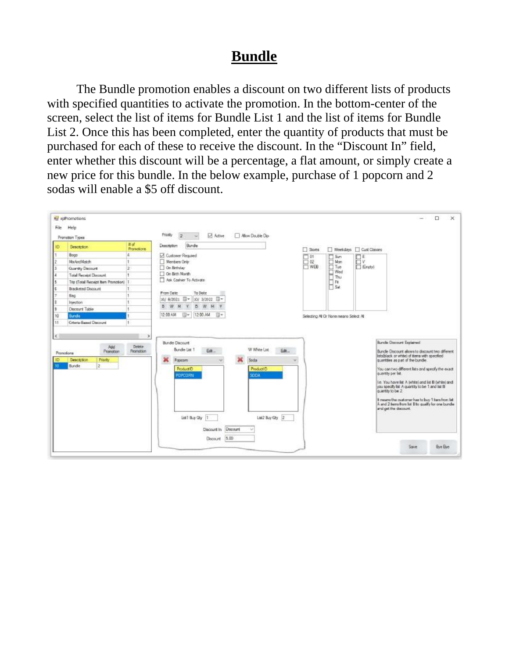### **Bundle**

The Bundle promotion enables a discount on two different lists of products with specified quantities to activate the promotion. In the bottom-center of the screen, select the list of items for Bundle List 1 and the list of items for Bundle List 2. Once this has been completed, enter the quantity of products that must be purchased for each of these to receive the discount. In the "Discount In" field, enter whether this discount will be a percentage, a flat amount, or simply create a new price for this bundle. In the below example, purchase of 1 popcorn and 2 sodas will enable a \$5 off discount.